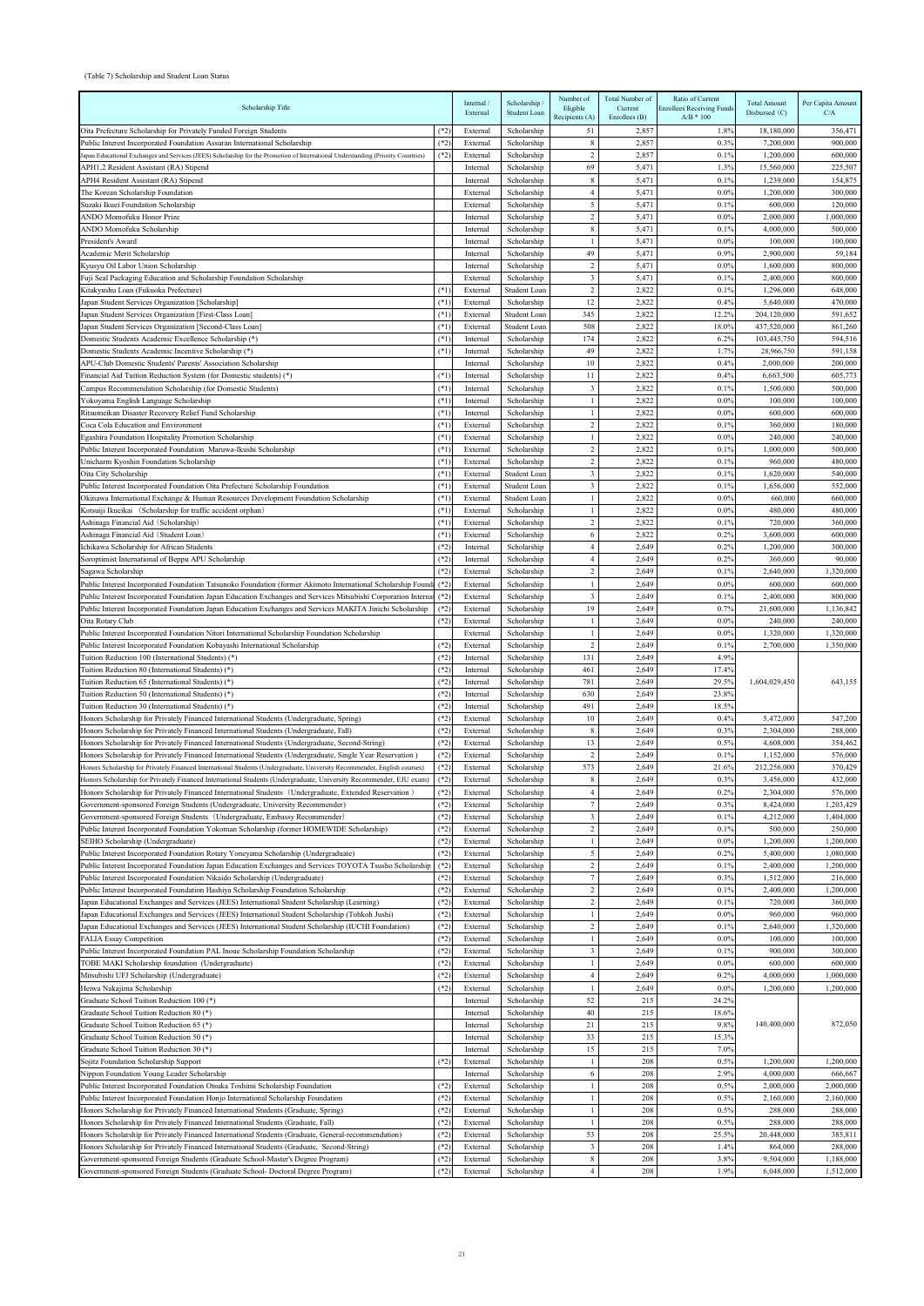## (Table 7) Scholarship and Student Loan Status

| Scholarship Title                                                                                                                                                                                            |                  | Internal /<br>External | Scholarship /<br>Student Loan | Number of<br>Eligible<br>Recipients (A) | Total Number of<br>Current<br>Enrollees $(B)$ | Ratio of Current<br><b>Enrollees Receiving Funds</b><br>$A/B * 100$ | <b>Total Amount</b><br>Disbursed $(C)$ | Per Capita Amount<br>C/A |
|--------------------------------------------------------------------------------------------------------------------------------------------------------------------------------------------------------------|------------------|------------------------|-------------------------------|-----------------------------------------|-----------------------------------------------|---------------------------------------------------------------------|----------------------------------------|--------------------------|
| Oita Prefecture Scholarship for Privately Funded Foreign Students                                                                                                                                            | $(*2)$           | External               | Scholarship                   | 51                                      | 2,857                                         | 1.8%                                                                | 18,180,000                             | 356,471                  |
| Public Interest Incorporated Foundation Assuran International Scholarship                                                                                                                                    | $(*2)$           | External               | Scholarship                   | 8                                       | 2,857                                         | 0.3%                                                                | 7,200,000                              | 900,000                  |
| Japan Educational Exchanges and Services (JEES) Scholarship for the Promotion of International Understanding (Priority Countries)                                                                            | $(*2)$           | External               | Scholarship                   | $\boldsymbol{2}$                        | 2,857                                         | 0.1%                                                                | 1,200,000                              | 600,000                  |
| APH1,2 Resident Assistant (RA) Stipend                                                                                                                                                                       |                  | Internal               | Scholarship<br>Scholarship    | 69<br>8                                 | 5,471<br>5,471                                | 1.3%<br>0.1%                                                        | 15,560,000<br>1,239,000                | 225,507<br>154,875       |
| APH4 Resident Assistant (RA) Stipend<br>The Korean Scholarship Foundation                                                                                                                                    |                  | Internal<br>External   | Scholarship                   | 4                                       | 5,471                                         | $0.0\%$                                                             | 1,200,000                              | 300,000                  |
| Suzaki Ikuei Foundation Scholarship                                                                                                                                                                          |                  | External               | Scholarship                   | 5                                       | 5,471                                         | 0.1%                                                                | 600,000                                | 120,000                  |
| ANDO Momofuku Honor Prize                                                                                                                                                                                    |                  | Internal               | Scholarship                   | $\boldsymbol{2}$                        | 5,471                                         | 0.0%                                                                | 2,000,000                              | 1,000,000                |
| ANDO Momofuku Scholarship                                                                                                                                                                                    |                  | Internal               | Scholarship                   | 8                                       | 5,471                                         | 0.1%                                                                | 4,000,000                              | 500,000                  |
| President's Award                                                                                                                                                                                            |                  | Internal               | Scholarship                   | 1                                       | 5,471                                         | $0.0\%$                                                             | 100,000                                | 100,000                  |
| Academic Merit Scholarship                                                                                                                                                                                   |                  | Internal               | Scholarship                   | 49                                      | 5,471                                         | 0.9%                                                                | 2,900,000                              | 59,184                   |
| Kyusyu Oil Labor Union Scholarship                                                                                                                                                                           |                  | Internal               | Scholarship                   | $\overline{c}$                          | 5,471                                         | $0.0\%$                                                             | 1,600,000                              | 800,000                  |
| Fuji Seal Packaging Education and Scholarship Foundation Scholarship                                                                                                                                         | $(*1)$           | External<br>External   | Scholarship<br>Student Loan   | 3<br>$\boldsymbol{2}$                   | 5,471<br>2,822                                | 0.1%<br>0.1%                                                        | 2,400,000<br>1,296,000                 | 800,000<br>648,000       |
| Kitakyushu Loan (Fukuoka Prefecture)<br>Japan Student Services Organization [Scholarship]                                                                                                                    | $(*1)$           | External               | Scholarship                   | 12                                      | 2,822                                         | 0.4%                                                                | 5,640,000                              | 470,000                  |
| Japan Student Services Organization [First-Class Loan]                                                                                                                                                       | $(*1)$           | External               | Student Loan                  | 345                                     | 2,822                                         | 12.2%                                                               | 204,120,000                            | 591,652                  |
| Japan Student Services Organization [Second-Class Loan]                                                                                                                                                      | $(*1)$           | External               | Student Loan                  | 508                                     | 2,822                                         | 18.0%                                                               | 437,520,000                            | 861,260                  |
| Domestic Students Academic Excellence Scholarship (*)                                                                                                                                                        | $(*1)$           | Internal               | Scholarship                   | 174                                     | 2,822                                         | 6.2%                                                                | 103,445,750                            | 594,516                  |
| Domestic Students Academic Incentive Scholarship (*)                                                                                                                                                         | $(*1)$           | Internal               | Scholarship                   | 49                                      | 2,822                                         | 1.7%                                                                | 28,966,750                             | 591,158                  |
| APU-Club Domestic Students' Parents' Association Scholarship                                                                                                                                                 |                  | Internal               | Scholarship                   | 10                                      | 2,822                                         | 0.4%                                                                | 2,000,000                              | 200,000                  |
| Financial Aid Tuition Reduction System (for Domestic students) (*)                                                                                                                                           | $(*1)$           | Internal               | Scholarship                   | 11                                      | 2,822                                         | 0.4%                                                                | 6,663,500                              | 605,773                  |
| Campus Recommendation Scholarship (for Domestic Students)                                                                                                                                                    | $(*1)$           | Internal               | Scholarship                   | 3                                       | 2,822                                         | 0.1%                                                                | 1,500,000                              | 500,000                  |
| Yokoyama English Language Scholarship<br>Ritsumeikan Disaster Recovery Relief Fund Scholarship                                                                                                               | $(*1)$<br>$(*1)$ | Internal<br>Internal   | Scholarship<br>Scholarship    | $\overline{1}$<br>-1                    | 2,822<br>2,822                                | $0.0\%$<br>0.0%                                                     | 100,000<br>600,000                     | 100,000<br>600,000       |
| Coca Cola Education and Environment                                                                                                                                                                          | $(*1)$           | External               | Scholarship                   | $\overline{c}$                          | 2,822                                         | 0.1%                                                                | 360,000                                | 180,000                  |
| Egashira Foundation Hospitality Promotion Scholarship                                                                                                                                                        | $(*1)$           | External               | Scholarship                   | 1                                       | 2,822                                         | 0.0%                                                                | 240,000                                | 240,000                  |
| Public Interest Incorporated Foundation Maruwa-Ikushi Scholarship                                                                                                                                            | $(*1)$           | External               | Scholarship                   | $\overline{2}$                          | 2,822                                         | 0.1%                                                                | 1,000,000                              | 500,000                  |
| Unicharm Kyoshin Foundation Scholarship                                                                                                                                                                      | $(*1)$           | External               | Scholarship                   | $\boldsymbol{2}$                        | 2,822                                         | 0.1%                                                                | 960,000                                | 480,000                  |
| Oita City Scholarship                                                                                                                                                                                        | $(*1)$           | External               | Student Loan                  | $\overline{\mathbf{3}}$                 | 2,822                                         | 0.1%                                                                | 1,620,000                              | 540,000                  |
| Public Interest Incorporated Foundation Oita Prefecture Scholarship Foundation                                                                                                                               | $(*1)$           | External               | Student Loan                  | 3                                       | 2,822                                         | 0.1%                                                                | 1,656,000                              | 552,000                  |
| Okinawa International Exchange & Human Resources Development Foundation Scholarship                                                                                                                          | $(*1)$           | External               | Student Loan                  | -1                                      | 2,822                                         | 0.0%                                                                | 660,000                                | 660,000                  |
| Kotsuiji Ikueikai (Scholarship for traffic accident orphan)                                                                                                                                                  | $(*1)$           | External               | Scholarship                   |                                         | 2,822                                         | 0.0%                                                                | 480,000                                | 480,000                  |
| Ashinaga Financial Aid (Scholarship)<br>Ashinaga Financial Aid (Student Loan)                                                                                                                                | $(*1)$<br>$(*1)$ | External<br>External   | Scholarship<br>Scholarship    | $\overline{c}$<br>6                     | 2,822<br>2,822                                | 0.1%<br>0.2%                                                        | 720,000<br>3,600,000                   | 360,000<br>600,000       |
| Ichikawa Scholarship for African Students                                                                                                                                                                    | $(*2)$           | Internal               | Scholarship                   | $\overline{4}$                          | 2,649                                         | 0.2%                                                                | 1,200,000                              | 300,000                  |
| Soroptimist International of Beppu APU Scholarship                                                                                                                                                           | $(*2)$           | Internal               | Scholarship                   | $\overline{4}$                          | 2,649                                         | 0.2%                                                                | 360,000                                | 90,000                   |
| Sagawa Scholarship                                                                                                                                                                                           | $(*2)$           | External               | Scholarship                   | 2                                       | 2,649                                         | 0.1%                                                                | 2.640.000                              | 1,320,000                |
| Public Interest Incorporated Foundation Tatsunoko Foundation (former Akimoto International Scholarship Found (*2)                                                                                            |                  | External               | Scholarship                   |                                         | 2,649                                         | $0.0\%$                                                             | 600,000                                | 600,000                  |
| Public Interest Incorporated Foundation Japan Education Exchanges and Services Mitsubishi Corporation Interna                                                                                                | $(*2)$           | External               | Scholarship                   | $\overline{3}$                          | 2,649                                         | 0.1%                                                                | 2,400,000                              | 800,000                  |
| Public Interest Incorporated Foundation Japan Education Exchanges and Services MAKITA Jinichi Scholarship                                                                                                    | $(*2)$           | External               | Scholarship                   | 19                                      | 2,649                                         | 0.7%                                                                | 21,600,000                             | 1,136,842                |
| Oita Rotary Club                                                                                                                                                                                             | $(*2)$           | External               | Scholarship                   | -1                                      | 2,649                                         | $0.0\%$                                                             | 240,000                                | 240,000                  |
| Public Interest Incorporated Foundation Nitori International Scholarship Foundation Scholarship<br>Public Interest Incorporated Foundation Kobayashi International Scholarship                               | $(*2)$           | External<br>External   | Scholarship<br>Scholarship    | 1<br>$\overline{c}$                     | 2,649<br>2,649                                | $0.0\%$<br>0.1%                                                     | 1,320,000<br>2,700,000                 | 1,320,000<br>1,350,000   |
| Tuition Reduction 100 (International Students) (*)                                                                                                                                                           | $(*2)$           | Internal               | Scholarship                   | 131                                     | 2,649                                         | 4.9%                                                                |                                        | 643,155                  |
| Tuition Reduction 80 (International Students) (*)                                                                                                                                                            | $(*2)$           | Internal               | Scholarship                   | 461                                     | 2,649                                         | 17.4%                                                               |                                        |                          |
| Tuition Reduction 65 (International Students) (*)                                                                                                                                                            | $(*2)$           | Internal               | Scholarship                   | 781                                     | 2,649                                         | 29.5%                                                               | 1,604,029,450                          |                          |
| Tuition Reduction 50 (International Students) (*)                                                                                                                                                            | $(*2)$           | Internal               | Scholarship                   | 630                                     | 2,649                                         | 23.8%                                                               |                                        |                          |
| Tuition Reduction 30 (International Students) (*)                                                                                                                                                            | $(*2)$           | Internal               | Scholarship                   | 491                                     | 2,649                                         | 18.5%                                                               |                                        |                          |
| Honors Scholarship for Privately Financed International Students (Undergraduate, Spring)                                                                                                                     | $(*2)$           | External               | Scholarship                   | 10                                      | 2,649                                         | 0.4%                                                                | 5,472,000                              | 547,200                  |
| Honors Scholarship for Privately Financed International Students (Undergraduate, Fall)                                                                                                                       | $(*2)$           | External               | Scholarship                   | 8                                       | 2,649                                         | 0.3%                                                                | 2,304,000                              | 288,000                  |
| Honors Scholarship for Privately Financed International Students (Undergraduate, Second-String)<br>Honors Scholarship for Privately Financed International Students (Undergraduate, Single Year Reservation) | $(*2)$<br>$(*2)$ | External<br>External   | Scholarship<br>Scholarship    | 13<br>$\overline{2}$                    | 2,649<br>2,649                                | 0.5%<br>0.1%                                                        | 4,608,000<br>1,152,000                 | 354,462<br>576,000       |
| Honors Scholarship for Privately Financed International Students (Undergraduate, University Recommender, English courses)                                                                                    | $(*2)$           | External               | Scholarship                   | 573                                     | 2,649                                         | 21.6%                                                               | 212,256,000                            | 370,429                  |
| Honors Scholarship for Privately Financed International Students (Undergraduate, University Recommender, EJU exam                                                                                            | $(*2)$           | External               | Scholarship                   | 8                                       | 2,649                                         | 0.3%                                                                | 3,456,000                              | 432,000                  |
| Honors Scholarship for Privately Financed International Students (Undergraduate, Extended Reservation)                                                                                                       | $(*2)$           | External               | Scholarship                   | $\overline{4}$                          | 2,649                                         | 0.2%                                                                | 2,304,000                              | 576,000                  |
| Government-sponsored Foreign Students (Undergraduate, University Recommender)                                                                                                                                | $(*2)$           | External               | Scholarship                   | $7\phantom{.0}$                         | 2,649                                         | 0.3%                                                                | 8,424,000                              | 1,203,429                |
| Government-sponsored Foreign Students (Undergraduate, Embassy Recommender)                                                                                                                                   | $(*2)$           | External               | Scholarship                   | 3                                       | 2,649                                         | 0.1%                                                                | 4,212,000                              | 1,404,000                |
| Public Interest Incorporated Foundation Yokoman Scholarship (former HOMEWIDE Scholarship)                                                                                                                    | $(*2)$           | External               | Scholarship                   | $\overline{c}$                          | 2,649                                         | 0.1%                                                                | 500,000                                | 250,000                  |
| SEIHO Scholarship (Undergraduate)                                                                                                                                                                            | $(*2)$           | External               | Scholarship                   | $\overline{1}$                          | 2,649                                         | $0.0\%$                                                             | 1,200,000                              | 1,200,000                |
| Public Interest Incorporated Foundation Rotary Yoneyama Scholarship (Undergraduate)                                                                                                                          | $(*2)$<br>$(*2)$ | External               | Scholarship<br>Scholarship    | 5<br>2                                  | 2,649<br>2,649                                | 0.2%<br>0.1%                                                        | 5,400,000<br>2,400,000                 | 1,080,000<br>1,200,000   |
| Public Interest Incorporated Foundation Japan Education Exchanges and Services TOYOTA Tsusho Scholarship<br>Public Interest Incorporated Foundation Nikaido Scholarship (Undergraduate)                      | $(*2)$           | External<br>External   | Scholarship                   | $7\phantom{.0}$                         | 2,649                                         | 0.3%                                                                | 1,512,000                              | 216,000                  |
| Public Interest Incorporated Foundation Hashiya Scholarship Foundation Scholarship                                                                                                                           | $(*2)$           | External               | Scholarship                   | $\sqrt{2}$                              | 2,649                                         | 0.1%                                                                | 2,400,000                              | 1,200,000                |
| Japan Educational Exchanges and Services (JEES) International Student Scholarship (Learning)                                                                                                                 | $(*2)$           | External               | Scholarship                   | $\overline{c}$                          | 2,649                                         | 0.1%                                                                | 720,000                                | 360,000                  |
| Japan Educational Exchanges and Services (JEES) International Student Scholarship (Tohkoh Jushi)                                                                                                             | $(*2)$           | External               | Scholarship                   | $\overline{1}$                          | 2,649                                         | 0.0%                                                                | 960,000                                | 960,000                  |
| Japan Educational Exchanges and Services (JEES) International Student Scholarship (IUCHI Foundation)                                                                                                         | $(*2)$           | External               | Scholarship                   | $\overline{c}$                          | 2,649                                         | 0.1%                                                                | 2,640,000                              | 1,320,000                |
| <b>FALIA Essay Competition</b>                                                                                                                                                                               | $(*2)$           | External               | Scholarship                   | 1                                       | 2,649                                         | 0.0%                                                                | 100,000                                | 100,000                  |
| Public Interest Incorporated Foundation PAL Inoue Scholarship Foundation Scholarship                                                                                                                         | $(*2)$           | External               | Scholarship                   | 3                                       | 2,649                                         | 0.1%                                                                | 900,000                                | 300,000                  |
| TOBE MAKI Scholarship foundation (Undergraduate)                                                                                                                                                             | $(*2)$           | External               | Scholarship                   | $\mathbf{1}$                            | 2,649                                         | $0.0\%$                                                             | 600,000                                | 600,000                  |
| Mitsubishi UFJ Scholarship (Undergraduate)<br>Heiwa Nakajima Scholarship                                                                                                                                     | $(*2)$<br>$(*2)$ | External<br>External   | Scholarship<br>Scholarship    | $\overline{4}$<br>-1                    | 2,649<br>2,649                                | 0.2%<br>0.09                                                        | 4,000,000<br>1,200,000                 | 1,000,000<br>1,200,000   |
| Graduate School Tuition Reduction 100 (*)                                                                                                                                                                    |                  | Internal               | Scholarship                   | 52                                      | 215                                           | 24.2%                                                               |                                        |                          |
| Graduate School Tuition Reduction 80 (*)                                                                                                                                                                     |                  | Internal               | Scholarship                   | 40                                      | 215                                           | 18.6%                                                               | 140,400,000                            | 872,050                  |
| Graduate School Tuition Reduction 65 (*)                                                                                                                                                                     |                  | Internal               | Scholarship                   | 21                                      | 215                                           | 9.8%                                                                |                                        |                          |
| Graduate School Tuition Reduction 50 (*)                                                                                                                                                                     |                  | Internal               | Scholarship                   | 33                                      | 215                                           | 15.3%                                                               |                                        |                          |
| Graduate School Tuition Reduction 30 (*)                                                                                                                                                                     |                  | Internal               | Scholarship                   | 15                                      | 215                                           | 7.0%                                                                |                                        |                          |
| Sojitz Foundation Scholarship Support                                                                                                                                                                        | $(*2)$           | External               | Scholarship                   |                                         | 208                                           | 0.5%                                                                | 1,200,000                              | 1,200,000                |
| Nippon Foundation Young Leader Scholarship                                                                                                                                                                   |                  | Internal               | Scholarship                   |                                         | 208                                           | 2.9%                                                                | 4.000.000                              | 666,667                  |
| Public Interest Incorporated Foundation Otsuka Toshimi Scholarship Foundation<br>Public Interest Incorporated Foundation Honjo International Scholarship Foundation                                          | $(*2)$<br>$(*2)$ | External<br>External   | Scholarship<br>Scholarship    |                                         | 208<br>208                                    | 0.5%<br>0.5%                                                        | 2,000,000<br>2,160,000                 | 2,000,000<br>2,160,000   |
| Honors Scholarship for Privately Financed International Students (Graduate, Spring)                                                                                                                          | $(*2)$           | External               | Scholarship                   | -1                                      | 208                                           | 0.5%                                                                | 288,000                                | 288,000                  |
| Honors Scholarship for Privately Financed International Students (Graduate, Fall)                                                                                                                            | $(*2)$           | External               | Scholarship                   | $\overline{1}$                          | 208                                           | 0.5%                                                                | 288,000                                | 288,000                  |
| Honors Scholarship for Privately Financed International Students (Graduate, General-recommendation)                                                                                                          | $(*2)$           | External               | Scholarship                   | 53                                      | 208                                           | 25.5%                                                               | 20,448,000                             | 385,811                  |
| Honors Scholarship for Privately Financed International Students (Graduate, Second-String)                                                                                                                   | $(*2)$           | External               | Scholarship                   | 3                                       | 208                                           | 1.4%                                                                | 864,000                                | 288,000                  |
| Government-sponsored Foreign Students (Graduate School-Master's Degree Program)                                                                                                                              | $(*2)$           | External               | Scholarship                   | 8                                       | 208                                           | 3.8%                                                                | 9,504,000                              | 1,188,000                |
| Government-sponsored Foreign Students (Graduate School- Doctoral Degree Program)                                                                                                                             | $(*2)$           | External               | Scholarship                   | 4                                       | 208                                           | 1.9%                                                                | 6,048,000                              | 1,512,000                |